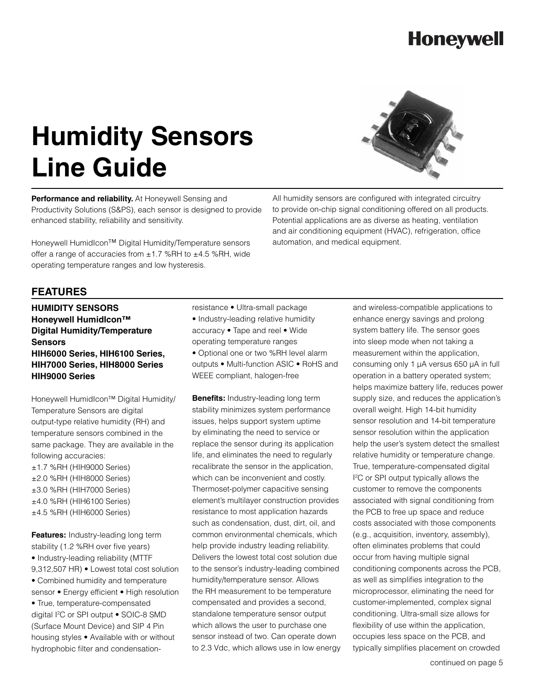### **Honeywell**

# **Humidity Sensors Line Guide**

**Performance and reliability.** At Honeywell Sensing and Productivity Solutions (S&PS), each sensor is designed to provide enhanced stability, reliability and sensitivity.

Honeywell HumidIcon™ Digital Humidity/Temperature sensors offer a range of accuracies from  $\pm 1.7$  %RH to  $\pm 4.5$  %RH, wide operating temperature ranges and low hysteresis.



All humidity sensors are configured with integrated circuitry to provide on-chip signal conditioning offered on all products. Potential applications are as diverse as heating, ventilation and air conditioning equipment (HVAC), refrigeration, office automation, and medical equipment.

#### **FEATURES**

**hUMIDITY sENSORS Honeywell HumidIcon™ Digital Humidity/Temperature Sensors HIH6000 Series, HIH6100 Series, HIH7000 Series, HIH8000 Series HIH9000 Series** 

Honeywell HumidIcon™ Digital Humidity/ Temperature Sensors are digital output-type relative humidity (RH) and temperature sensors combined in the same package. They are available in the following accuracies: ±1.7 %RH (HIH9000 Series) ±2.0 %RH (HIH8000 Series) ±3.0 %RH (HIH7000 Series) ±4.0 %RH (HIH6100 Series) ±4.5 %RH (HIH6000 Series)

**Features:** Industry-leading long term stability (1.2 %RH over five years) • Industry-leading reliability (MTTF 9,312,507 HR) • Lowest total cost solution • Combined humidity and temperature sensor • Energy efficient • High resolution • True, temperature-compensated digital I2 C or SPI output • SOIC-8 SMD (Surface Mount Device) and SIP 4 Pin housing styles • Available with or without hydrophobic filter and condensationresistance • Ultra-small package

- Industry-leading relative humidity accuracy • Tape and reel • Wide operating temperature ranges
- Optional one or two %RH level alarm outputs • Multi-function ASIC • RoHS and WEEE compliant, halogen-free

**Benefits:** Industry-leading long term stability minimizes system performance issues, helps support system uptime by eliminating the need to service or replace the sensor during its application life, and eliminates the need to regularly recalibrate the sensor in the application, which can be inconvenient and costly. Thermoset-polymer capacitive sensing element's multilayer construction provides resistance to most application hazards such as condensation, dust, dirt, oil, and common environmental chemicals, which help provide industry leading reliability. Delivers the lowest total cost solution due to the sensor's industry-leading combined humidity/temperature sensor. Allows the RH measurement to be temperature compensated and provides a second, standalone temperature sensor output which allows the user to purchase one sensor instead of two. Can operate down to 2.3 Vdc, which allows use in low energy and wireless-compatible applications to enhance energy savings and prolong system battery life. The sensor goes into sleep mode when not taking a measurement within the application, consuming only 1 μA versus 650 μA in full operation in a battery operated system; helps maximize battery life, reduces power supply size, and reduces the application's overall weight. High 14-bit humidity sensor resolution and 14-bit temperature sensor resolution within the application help the user's system detect the smallest relative humidity or temperature change. True, temperature-compensated digital I 2 C or SPI output typically allows the customer to remove the components associated with signal conditioning from the PCB to free up space and reduce costs associated with those components (e.g., acquisition, inventory, assembly), often eliminates problems that could occur from having multiple signal conditioning components across the PCB, as well as simplifies integration to the microprocessor, eliminating the need for customer-implemented, complex signal conditioning. Ultra-small size allows for flexibility of use within the application, occupies less space on the PCB, and typically simplifies placement on crowded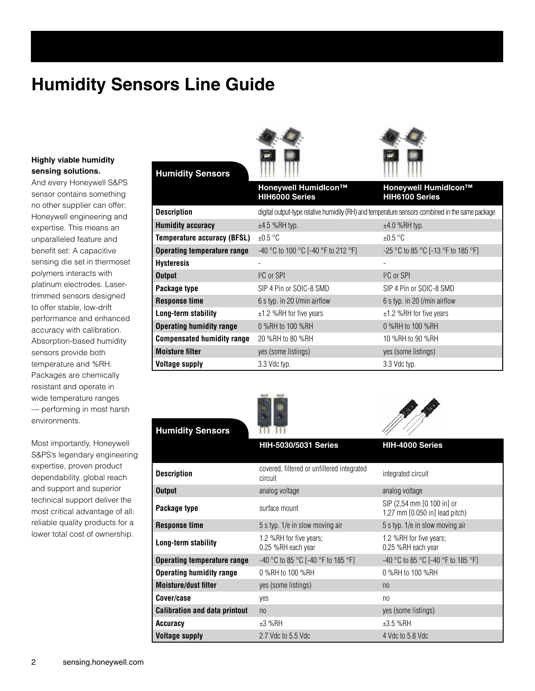## **Humidity Sensors Line Guide**

**Humidity Sensors**

#### **Highly viable humidity sensing solutions.**

And every Honeywell S&PS sensor contains something no other supplier can offer: Honeywell engineering and expertise. This means an unparalleled feature and benefit set: A capacitive sensing die set in thermoset polymers interacts with platinum electrodes. Lasertrimmed sensors designed to offer stable, low-drift performance and enhanced accuracy with calibration. Absorption-based humidity sensors provide both temperature and %RH. Packages are chemically resistant and operate in wide temperature ranges — performing in most harsh environments.

Most importantly, Honeywell S&PS's legendary engineering expertise, proven product dependability, global reach and support and superior technical support deliver the most critical advantage of all: reliable quality products for a lower total cost of ownership.

| <u>Hammary Ochoolo</u>             | <b>XLIX</b> - XXXX                                                                              |                                        |
|------------------------------------|-------------------------------------------------------------------------------------------------|----------------------------------------|
|                                    | Honeywell Humidlcon™<br>HIH6000 Series                                                          | Honeywell Humidlcon™<br>HIH6100 Series |
| <b>Description</b>                 | digital output-type relative humidity (RH) and temperature sensors combined in the same package |                                        |
| <b>Humidity accuracy</b>           | $±4.5$ %RH typ.                                                                                 | $±4.0$ %RH typ.                        |
| <b>Temperature accuracy (BFSL)</b> | $\pm 0.5$ °C                                                                                    | $\pm 0.5$ °C                           |
| <b>Operating temperature range</b> | -40 °C to 100 °C [-40 °F to 212 °F]                                                             | -25 °C to 85 °C [-13 °F to 185 °F]     |
| <b>Hysteresis</b>                  |                                                                                                 |                                        |
| <b>Output</b>                      | ${}^{12}C$ or SPI                                                                               | ${}^{12}C$ or SPI                      |
| Package type                       | SIP 4 Pin or SOIC-8 SMD                                                                         | SIP 4 Pin or SOIC-8 SMD                |
| <b>Response time</b>               | 6 s typ. in 20 l/min airflow                                                                    | 6 s typ. in 20 l/min airflow           |
| Long-term stability                | $±1.2$ %RH for five years                                                                       | $±1.2$ %RH for five years              |
| <b>Operating humidity range</b>    | 0 %RH to 100 %RH                                                                                | 0 %RH to 100 %RH                       |
| <b>Compensated humidity range</b>  | 20 %RH to 80 %RH                                                                                | 10 %RH to 90 %RH                       |
| <b>Moisture filter</b>             | yes (some listings)                                                                             | yes (some listings)                    |
| <b>Voltage supply</b>              | 3.3 Vdc typ.                                                                                    | 3.3 Vdc typ.                           |

| <b>Humidity Sensors</b>              |                                                       |                                                              |
|--------------------------------------|-------------------------------------------------------|--------------------------------------------------------------|
|                                      | <b>HIH-5030/5031 Series</b>                           | HIH-4000 Series                                              |
| <b>Description</b>                   | covered, filtered or unfiltered integrated<br>circuit | integrated circuit                                           |
| <b>Output</b>                        | analog voltage                                        | analog voltage                                               |
| Package type                         | surface mount                                         | SIP (2,54 mm [0.100 in] or<br>1,27 mm [0.050 in] lead pitch) |
| <b>Response time</b>                 | 5 s typ. 1/e in slow moving air                       | 5 s typ. 1/e in slow moving air                              |
| Long-term stability                  | 1.2 %RH for five years;<br>0.25 %RH each year         | 1.2 %RH for five years;<br>0.25 %RH each year                |
| <b>Operating temperature range</b>   | -40 °C to 85 °C [-40 °F to 185 °F]                    | -40 °C to 85 °C [-40 °F to 185 °F]                           |
| <b>Operating humidity range</b>      | 0 %RH to 100 %RH                                      | 0 %RH to 100 %RH                                             |
| <b>Moisture/dust filter</b>          | yes (some listings)                                   | n <sub>0</sub>                                               |
| Cover/case                           | yes                                                   | n <sub>0</sub>                                               |
| <b>Calibration and data printout</b> | n <sub>0</sub>                                        | yes (some listings)                                          |
| Accuracy                             | $±3$ %RH                                              | $±3.5$ %RH                                                   |
| <b>Voltage supply</b>                | 2.7 Vdc to 5.5 Vdc                                    | 4 Vdc to 5.8 Vdc                                             |





a A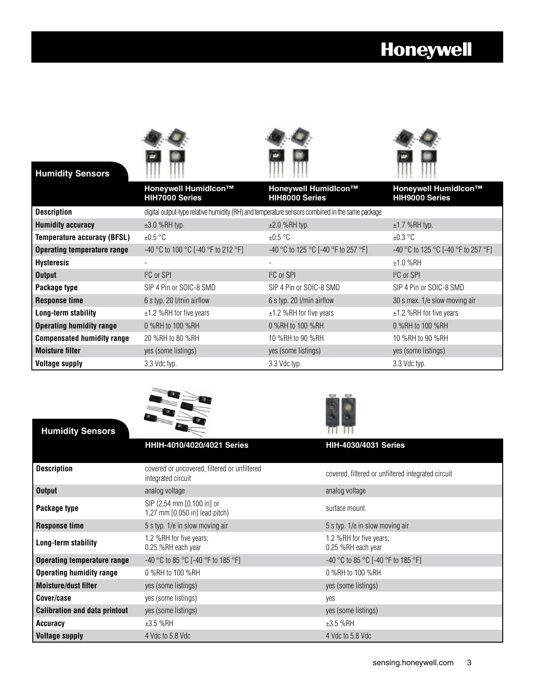# **Honeywell**



**Humidity Sensors**





|                                    | Honeywell Humidlcon™<br><b>HIH7000 Series</b>                                                   | Honeywell Humidlcon™<br><b>HIH8000 Series</b> | Honeywell Humidlcon™<br><b>HIH9000 Series</b> |
|------------------------------------|-------------------------------------------------------------------------------------------------|-----------------------------------------------|-----------------------------------------------|
| <b>Description</b>                 | digital output-type relative humidity (RH) and temperature sensors combined in the same package |                                               |                                               |
| <b>Humidity accuracy</b>           | $\pm 3.0$ %RH typ.                                                                              | $\pm 2.0$ %RH typ.                            | $±1.7$ %RH typ.                               |
| <b>Temperature accuracy (BFSL)</b> | $\pm 0.5$ °C                                                                                    | $\pm 0.5$ °C                                  | $\pm 0.3$ °C                                  |
| <b>Operating temperature range</b> | -40 °C to 100 °C [-40 °F to 212 °F]                                                             | -40 °C to 125 °C [-40 °F to 257 °F]           | $-40$ °C to 125 °C [-40 °F to 257 °F]         |
| <b>Hysteresis</b>                  |                                                                                                 |                                               | $±1.0$ %RH                                    |
| <b>Output</b>                      | ${}^{12}C$ or SPI                                                                               | ${}^{12}C$ or SPI                             | ${}^{12}C$ or SPI                             |
| Package type                       | SIP 4 Pin or SOIC-8 SMD                                                                         | SIP 4 Pin or SOIC-8 SMD                       | SIP 4 Pin or SOIC-8 SMD                       |
| <b>Response time</b>               | 6 s typ. 20 l/min airflow                                                                       | 6 s typ. 20 l/min airflow                     | 30 s max. 1/e slow moving air                 |
| Long-term stability                | $±1.2$ %RH for five years                                                                       | $\pm$ 1.2 %RH for five years                  | $±1.2$ %RH for five years                     |
| <b>Operating humidity range</b>    | 0 %RH to 100 %RH                                                                                | 0 %RH to 100 %RH                              | 0 %RH to 100 %RH                              |
| <b>Compensated humidity range</b>  | 20 %RH to 80 %RH                                                                                | 10 %RH to 90 %RH                              | 10 %RH to 90 %RH                              |
| <b>Moisture filter</b>             | yes (some listings)                                                                             | yes (some listings)                           | yes (some listings)                           |
| <b>Voltage supply</b>              | 3.3 Vdc typ.                                                                                    | 3.3 Vdc typ.                                  | 3.3 Vdc typ.                                  |





| <b>Humidity Sensors</b>              |                                                                    |                                                    |
|--------------------------------------|--------------------------------------------------------------------|----------------------------------------------------|
|                                      | <b>HHIH-4010/4020/4021 Series</b>                                  | <b>HIH-4030/4031 Series</b>                        |
|                                      |                                                                    |                                                    |
| <b>Description</b>                   | covered or uncovered, filtered or unfiltered<br>integrated circuit | covered, filtered or unfiltered integrated circuit |
| <b>Output</b>                        | analog voltage                                                     | analog voltage                                     |
| Package type                         | SIP (2,54 mm [0.100 in] or<br>1,27 mm [0.050 in] lead pitch)       | surface mount                                      |
| <b>Response time</b>                 | 5 s typ. 1/e in slow moving air                                    | 5 s typ. 1/e in slow moving air                    |
| Long-term stability                  | 1.2 %RH for five years;<br>0.25 %RH each year                      | 1.2 %RH for five years;<br>0.25 %RH each year      |
| <b>Operating temperature range</b>   | $-40$ °C to 85 °C [-40 °F to 185 °F]                               | -40 °C to 85 °C [-40 °F to 185 °F]                 |
| <b>Operating humidity range</b>      | 0 %RH to 100 %RH                                                   | 0 %RH to 100 %RH                                   |
| <b>Moisture/dust filter</b>          | yes (some listings)                                                | yes (some listings)                                |
| Cover/case                           | yes (some listings)                                                | yes                                                |
| <b>Calibration and data printout</b> | yes (some listings)                                                | yes (some listings)                                |
| Accuracy                             | $±3.5$ %RH                                                         | $±3.5$ %RH                                         |
| <b>Voltage supply</b>                | 4 Vdc to 5.8 Vdc                                                   | 4 Vdc to 5.8 Vdc                                   |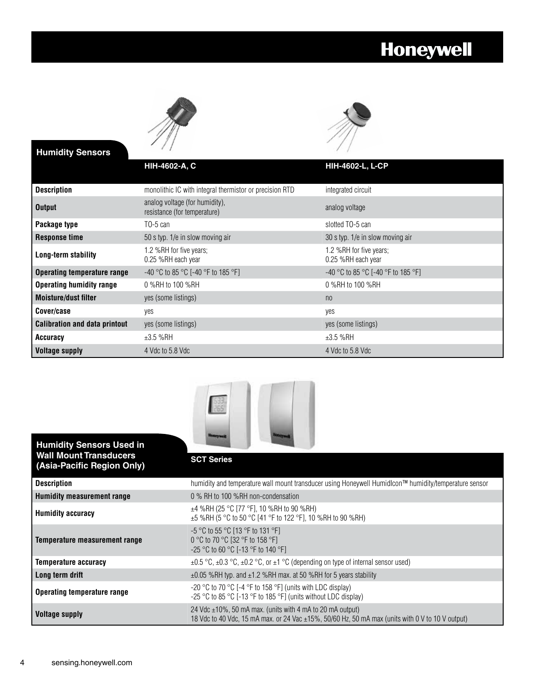# **Honeywell**





| <b>Humidity Sensors</b>              | $\left( \frac{1}{2} \right)$                                   |                                               |
|--------------------------------------|----------------------------------------------------------------|-----------------------------------------------|
|                                      | <b>HIH-4602-A, C</b>                                           | HIH-4602-L, L-CP                              |
| <b>Description</b>                   | monolithic IC with integral thermistor or precision RTD        | integrated circuit                            |
| <b>Output</b>                        | analog voltage (for humidity),<br>resistance (for temperature) | analog voltage                                |
| Package type                         | $T0-5$ can                                                     | slotted TO-5 can                              |
| <b>Response time</b>                 | 50 s typ. 1/e in slow moving air                               | 30 s typ. 1/e in slow moving air              |
| Long-term stability                  | 1.2 %RH for five years;<br>0.25 %RH each year                  | 1.2 %RH for five years;<br>0.25 %RH each year |
| <b>Operating temperature range</b>   | $-40$ °C to 85 °C [-40 °F to 185 °F]                           | $-40$ °C to 85 °C [-40 °F to 185 °F]          |
| <b>Operating humidity range</b>      | 0 %RH to 100 %RH                                               | 0 %RH to 100 %RH                              |
| <b>Moisture/dust filter</b>          | yes (some listings)                                            | n <sub>0</sub>                                |
| Cover/case                           | yes                                                            | yes                                           |
| <b>Calibration and data printout</b> | yes (some listings)                                            | yes (some listings)                           |
| Accuracy                             | $±3.5$ %RH                                                     | $±3.5$ %RH                                    |
| <b>Voltage supply</b>                | 4 Vdc to 5.8 Vdc                                               | 4 Vdc to 5.8 Vdc                              |



| <b>Humidity Sensors Used in</b>                             |                                                                                                                                                                    |
|-------------------------------------------------------------|--------------------------------------------------------------------------------------------------------------------------------------------------------------------|
| <b>Wall Mount Transducers</b><br>(Asia-Pacific Region Only) | <b>SCT Series</b>                                                                                                                                                  |
| <b>Description</b>                                          | humidity and temperature wall mount transducer using Honeywell Humidlcon™ humidity/temperature sensor                                                              |
| Humidity measurement range                                  | 0 % RH to 100 %RH non-condensation                                                                                                                                 |
| <b>Humidity accuracy</b>                                    | $\pm$ 4 %RH (25 °C [77 °F], 10 %RH to 90 %RH)<br>$\pm$ 5 %RH (5 °C to 50 °C [41 °F to 122 °F], 10 %RH to 90 %RH)                                                   |
| Temperature measurement range                               | $-5$ °C to 55 °C [13 °F to 131 °F]<br>0 °C to 70 °C [32 °F to 158 °F]<br>$-25$ °C to 60 °C [-13 °F to 140 °F]                                                      |
| Temperature accuracy                                        | $\pm 0.5$ °C, $\pm 0.3$ °C, $\pm 0.2$ °C, or $\pm 1$ °C (depending on type of internal sensor used)                                                                |
| Long term drift                                             | $\pm 0.05$ %RH typ. and $\pm 1.2$ %RH max. at 50 %RH for 5 years stability                                                                                         |
| Operating temperature range                                 | -20 °C to 70 °C [-4 °F to 158 °F] (units with LDC display)<br>-25 °C to 85 °C [-13 °F to 185 °F] (units without LDC display)                                       |
| <b>Voltage supply</b>                                       | 24 Vdc $\pm$ 10%, 50 mA max. (units with 4 mA to 20 mA output)<br>18 Vdc to 40 Vdc, 15 mA max. or 24 Vac ±15%, 50/60 Hz, 50 mA max (units with 0 V to 10 V output) |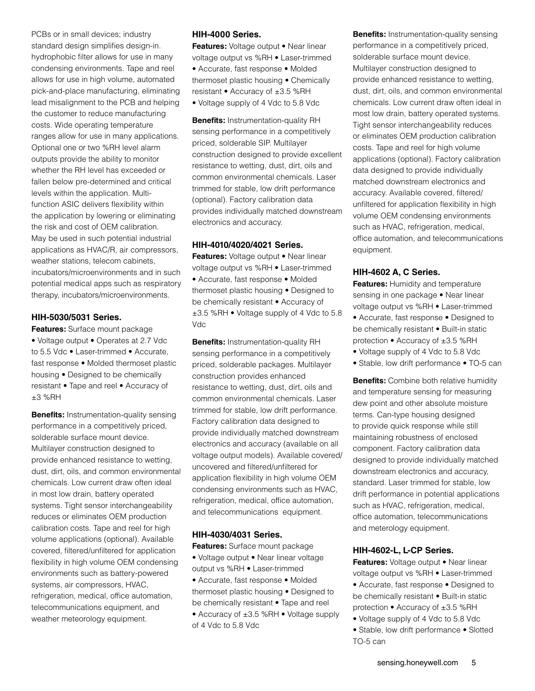PCBs or in small devices; industry standard design simplifies design-in. hydrophobic filter allows for use in many condensing environments. Tape and reel allows for use in high volume, automated pick-and-place manufacturing, eliminating lead misalignment to the PCB and helping the customer to reduce manufacturing costs. Wide operating temperature ranges allow for use in many applications. Optional one or two %RH level alarm outputs provide the ability to monitor whether the RH level has exceeded or fallen below pre-determined and critical levels within the application. Multifunction ASIC delivers flexibility within the application by lowering or eliminating the risk and cost of OEM calibration. May be used in such potential industrial applications as HVAC/R, air compressors, weather stations, telecom cabinets, incubators/microenvironments and in such potential medical apps such as respiratory therapy, incubators/microenvironments.

#### **HIH-5030/5031 Series.**

**Features:** Surface mount package • Voltage output • Operates at 2.7 Vdc to 5.5 Vdc • Laser-trimmed • Accurate, fast response • Molded thermoset plastic housing • Designed to be chemically resistant • Tape and reel • Accuracy of  $±3$  %RH

**Benefits:** Instrumentation-quality sensing performance in a competitively priced, solderable surface mount device. Multilayer construction designed to provide enhanced resistance to wetting, dust, dirt, oils, and common environmental chemicals. Low current draw often ideal in most low drain, battery operated systems. Tight sensor interchangeability reduces or eliminates OEM production calibration costs. Tape and reel for high volume applications (optional). Available covered, filtered/unfiltered for application flexibility in high volume OEM condensing environments such as battery-powered systems, air compressors, HVAC, refrigeration, medical, office automation, telecommunications equipment, and weather meteorology equipment.

#### **HIH-4000 Series.**

**Features:** Voltage output • Near linear voltage output vs %RH • Laser-trimmed • Accurate, fast response • Molded thermoset plastic housing • Chemically resistant • Accuracy of ±3.5 %RH • Voltage supply of 4 Vdc to 5.8 Vdc

**Benefits:** Instrumentation-quality RH sensing performance in a competitively priced, solderable SIP. Multilayer construction designed to provide excellent resistance to wetting, dust, dirt, oils and common environmental chemicals. Laser trimmed for stable, low drift performance (optional). Factory calibration data provides individually matched downstream electronics and accuracy.

#### **HIH-4010/4020/4021 Series.**

**Features:** Voltage output • Near linear voltage output vs %RH • Laser-trimmed • Accurate, fast response • Molded thermoset plastic housing • Designed to be chemically resistant • Accuracy of ±3.5 %RH • Voltage supply of 4 Vdc to 5.8 Vdc

**Benefits:** Instrumentation-quality RH sensing performance in a competitively priced, solderable packages. Multilayer construction provides enhanced resistance to wetting, dust, dirt, oils and common environmental chemicals. Laser trimmed for stable, low drift performance. Factory calibration data designed to provide individually matched downstream electronics and accuracy (available on all voltage output models). Available covered/ uncovered and filtered/unfiltered for application flexibility in high volume OEM condensing environments such as HVAC, refrigeration, medical, office automation, and telecommunications equipment.

#### **HIH-4030/4031 Series.**

**Features:** Surface mount package • Voltage output • Near linear voltage output vs %RH • Laser-trimmed • Accurate, fast response • Molded thermoset plastic housing • Designed to be chemically resistant • Tape and reel • Accuracy of ±3.5 %RH • Voltage supply of 4 Vdc to 5.8 Vdc

**Benefits:** Instrumentation-quality sensing performance in a competitively priced, solderable surface mount device. Multilayer construction designed to provide enhanced resistance to wetting, dust, dirt, oils, and common environmental chemicals. Low current draw often ideal in most low drain, battery operated systems. Tight sensor interchangeability reduces or eliminates OEM production calibration costs. Tape and reel for high volume applications (optional). Factory calibration data designed to provide individually matched downstream electronics and accuracy. Available covered, filtered/ unfiltered for application flexibility in high volume OEM condensing environments such as HVAC, refrigeration, medical, office automation, and telecommunications equipment.

#### **HIH-4602 A, C Series.**

**Features: Humidity and temperature** sensing in one package • Near linear voltage output vs %RH • Laser-trimmed • Accurate, fast response • Designed to be chemically resistant • Built-in static protection • Accuracy of ±3.5 %RH

- Voltage supply of 4 Vdc to 5.8 Vdc
- Stable, low drift performance TO-5 can

**Benefits:** Combine both relative humidity and temperature sensing for measuring dew point and other absolute moisture terms. Can-type housing designed to provide quick response while still maintaining robustness of enclosed component. Factory calibration data designed to provide individually matched downstream electronics and accuracy, standard. Laser trimmed for stable, low drift performance in potential applications such as HVAC, refrigeration, medical, office automation, telecommunications and meterology equipment.

#### **HIH-4602-L, L-CP Series.**

**Features:** Voltage output • Near linear voltage output vs %RH • Laser-trimmed • Accurate, fast response • Designed to be chemically resistant • Built-in static protection • Accuracy of ±3.5 %RH • Voltage supply of 4 Vdc to 5.8 Vdc

• Stable, low drift performance • Slotted TO-5 can